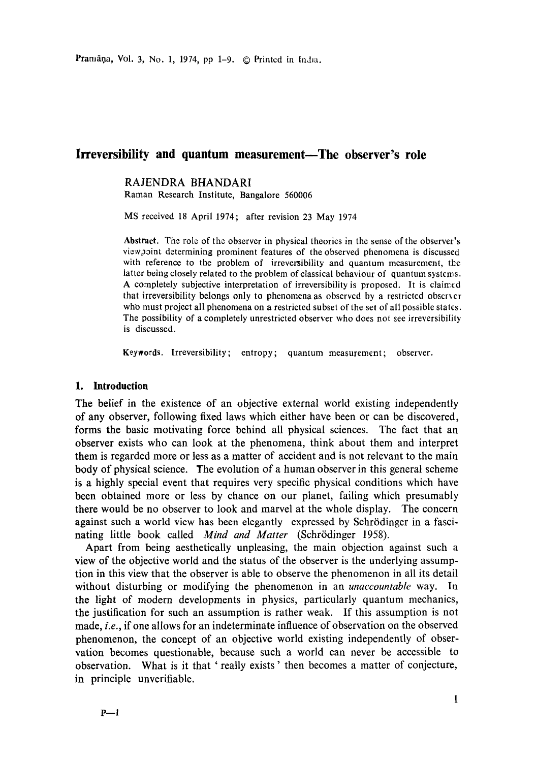Pramāņa, Vol. 3, No. 1, 1974, pp 1-9. © Printed in India.

## **Irreversibility and quantum measurement—The observer's role**

### RAJENDRA BHANDARI

Raman Research Institute, Bangalore 560006

MS received 18 April 1974; after revision 23 May 1974

**Abstract.** The role of the observer in physical theories in the sense of the observer's view point determining prominent features of the observed phenomena is discussed with reference to the problem of irreversibility and quantum measurement, the latter being closely related to the problem of classical behaviour of quantum systems. A completely subjective interpretation of irreversibility is proposed. It is claimed that irreversibility belongs only to phenomena as observed by a restricted obserxer who must project all phenomena on a restricted subset of the set of all possible states. The possibility of a completely unrestricted observer who does not see irreversibility is discussed.

Keywords. Irreversibility; entropy; quantum measurement; observer.

#### **I. Introduction**

The belief in the existence of an objective external world existing independently of any observer, following fixed laws which either have been or can be discovered, forms the basic motivating force behind all physical sciences. The fact that an observer exists who can look at the phenomena, think about them and interpret them is regarded more or less as a matter of accident and is not relevant to the main body of physical science. The evolution of a human observer in this general scheme is a highly special event that requires very specific physical conditions which have been obtained more or less by chance on our planet, failing which presumably there would be no observer to look and marvel at the whole display. The concern against such a world view has been elegantly expressed by Schrödinger in a fascinating little book called *Mind and Matter* (Schrödinger 1958).

Apart from being aesthetically unpleasing, the main objection against such a view of the objective world and the status of the observer is the underlying assumption in this view that the observer is able to observe the phenomenon in all its detail without disturbing or modifying the phenomenon in an *unaccountable* way. In the light of modern developments in physics, particularly quantum mechanics, the justification for such an assumption is rather weak. If this assumption is not made, *i.e.,* if one allows for an indeterminate influence of observation on the observed phenomenon, the concept of an objective world existing independently of observation becomes questionable, because such a world can never be accessible to observation. What is it that ' really exists' then becomes a matter of conjecture, in principle unverifiable.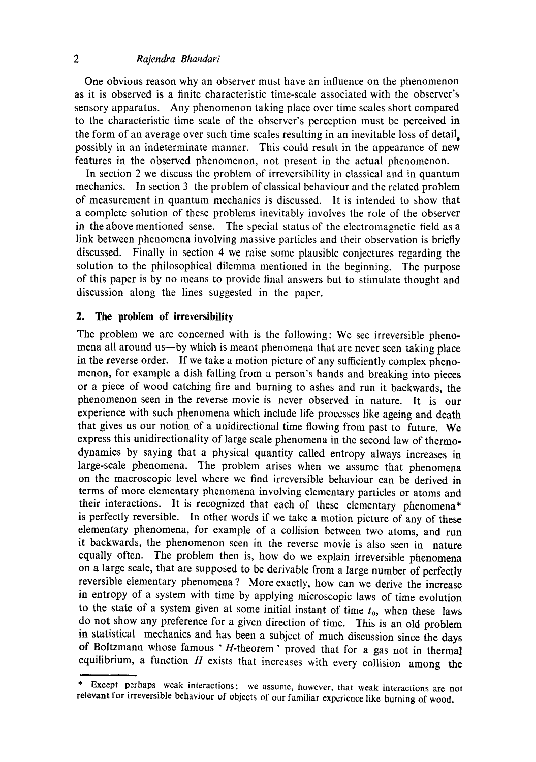# *2 Rajendra Bhandari*

One obvious reason why an observer must have an influence on the phenomenon as it is observed is a finite characteristic time-scale associated with the observer's sensory apparatus. Any phenomenon taking place over time scales short compared to the characteristic time scale of the observer's perception must be perceived in the form of an average over such time scales resulting in an inevitable loss of detail, possibly in an indeterminate manner. This could result in the appearance of new features in the observed phenomenon, not present in the actual phenomenon.

In section 2 we discuss the problem of irreversibility in classical and in quantum mechanics. In section 3 the problem of classical behaviour and the related problem of measurement in quantum mechanics is discussed. It is intended to show that a complete solution of these problems inevitably involves the role of the observer in the above mentioned sense. The special status of the electromagnetic field as a link between phenomena involving massive particles and their observation is briefly discussed. Finally in section 4 we raise some plausible conjectures regarding the solution to the philosophical dilemma mentioned in the beginning. The purpose of this paper is by no means to provide final answers but to stimulate thought and discussion along the lines suggested in the paper.

#### **2. The problem of irreversibility**

The problem we are concerned with is the following: We see irreversible phenomena all around us—by which is meant phenomena that are never seen taking place in the reverse order. If we take a motion picture of any sufficiently complex phenomenon, for example a dish falling from a person's hands and breaking into pieces or a piece of wood catching fire and burning to ashes and run it backwards, the phenomenon seen in the reverse movie is never observed in nature. It is our experience with such phenomena which include life processes like ageing and death that gives us our notion of a unidirectional time flowing from past to future. We express this unidirectionality of large scale phenomena in the second law of thermodynamics by saying that a physical quantity called entropy always increases in large-scale phenomena. The problem arises when we assume that phenomena on the macroscopic level where we find irreversible behaviour can be derived in terms of more elementary phenomena involving elementary particles or atoms and their interactions. It is recognized that each of these elementary phenomena\* is perfectly reversible. In other words if we take a motion picture of any of these elementary phenomena, for example of a collision between two atoms, and run it backwards, the phenomenon seen in the reverse movie is also seen in nature equally often. The problem then is, how do we explain irreversible phenomena on a large scale, that are supposed to be derivable from a large number of perfectly reversible elementary phenomena ? More exactly, how can we derive the increase in entropy of a system with time by applying microscopic laws of time evolution to the state of a system given at some initial instant of time  $t_0$ , when these laws do not show any preference for a given direction of time. This is an old problem in statistical mechanics and has been a subject of much discussion since the days of Boltzmann whose famous 'H-theorem' proved that for a gas not in thermal equilibrium, a function  $H$  exists that increases with every collision among the

Except perhaps weak interactions; we assume, however, that weak interactions are not relevant for irreversible behaviour of objects of our familiar experience like burning of wood.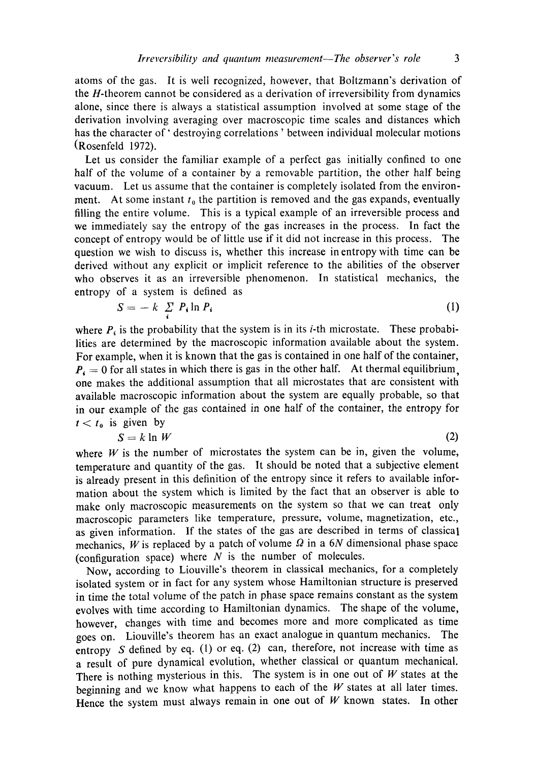atoms of the gas. It is well recognized, however, that Boltzmann's derivation of the H-theorem cannot be considered as a derivation of irreversibility from dynamics alone, since there is always a statistical assumption involved at some stage of the derivation involving averaging over macroscopic time scales and distances which has the character of' destroying correlations ' between individual molecular motions (Rosenfeld 1972).

Let us consider the familiar example of a perfect gas initially confined to one half of the volume of a container by a removable partition, the other half being vacuum. Let us assume that the container is completely isolated from the environment. At some instant  $t_0$  the partition is removed and the gas expands, eventually filling the entire volume. This is a typical example of an irreversible process and we immediately say the entropy of the gas increases in the process. In fact the concept of entropy would be of little use if it did not increase in this process. The question we wish to discuss is, whether this increase in entropy with time can be derived without any explicit or implicit reference to the abilities of the observer who observes it as an irreversible phenomenon. In statistical mechanics, the entropy of a system is defined as

$$
S = -k \sum_i P_i \ln P_i \tag{1}
$$

where  $P_t$  is the probability that the system is in its *i*-th microstate. These probabilities are determined by the macroscopic information available about the system. For example, when it is known that the gas is contained in one half of the container,  $P_4 = 0$  for all states in which there is gas in the other half. At thermal equilibrium, one makes the additional assumption that all microstates that are consistent with available macroscopic information about the system are equally probable, so that in our example of the gas contained in one half of the container, the entropy for  $t < t_0$  is given by

$$
S = k \ln W \tag{2}
$$

where  $W$  is the number of microstates the system can be in, given the volume, temperature and quantity of the gas. It should be noted that a subjective element is already present in this definition of the entropy since it refers to available information about the system which is limited by the fact that an observer is able to make only macroscopic measurements on the system so that we can treat only macroscopic parameters like temperature, pressure, volume, magnetization, etc., as given information. If the states of the gas are described in terms of classical mechanics, W is replaced by a patch of volume  $\Omega$  in a 6N dimensional phase space (configuration space) where  $N$  is the number of molecules.

Now, according to Liouville's theorem in classical mechanics, for a completely isolated system or in fact for any system whose Hamiltonian structure is preserved in time the total volume of the patch in phase space remains constant as the system evolves with time according to Hamiltonian dynamics. The shape of the volume, however, changes with time and becomes more and more complicated as time goes on. Liouville's theorem has an exact analogue in quantum mechanics. The entropy S defined by eq. (1) or eq. (2) can, therefore, not increase with time as a result of pure dynamical evolution, whether classical or quantum mechanical. There is nothing mysterious in this. The system is in one out of  $W$  states at the beginning and we know what happens to each of the  $W$  states at all later times. Hence the system must always remain in one out of  $W$  known states. In other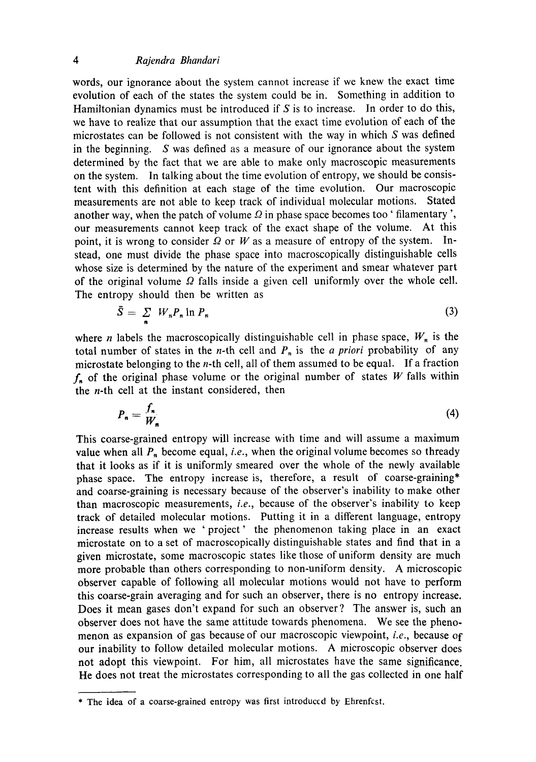## *4 Rajendra Bhandari*

words, our ignorance about the system cannot increase if we knew the exact time evolution of each of the states the system could be in. Something in addition to Hamiltonian dynamics must be introduced if  $S$  is to increase. In order to do this, we have to realize that our assumption that the exact time evolution of each of the microstates can be followed is not consistent with the way in which S was defined in the beginning. S was defined as a measure of our ignorance about the system determined by the fact that we are able to make only macroscopic measurements on the system. In talking about the time evolution of entropy, we should be consistent with this definition at each stage of the time evolution. Our macroscopic measurements are not able to keep track of individual molecular motions. Stated another way, when the patch of volume  $\Omega$  in phase space becomes too ' filamentary', our measurements cannot keep track of the exact shape of the volume. At this point, it is wrong to consider  $\Omega$  or W as a measure of entropy of the system. Instead, one must divide the phase space into macroscopically distinguishable cells whose size is determined by the nature of the experiment and smear whatever part of the original volume  $\Omega$  falls inside a given cell uniformly over the whole cell. The entropy should then be written as

$$
\bar{S} = \sum_{n} W_{n} P_{n} \ln P_{n} \tag{3}
$$

where *n* labels the macroscopically distinguishable cell in phase space,  $W_n$  is the total number of states in the *n*-th cell and  $P_n$  is the *a priori* probability of any microstate belonging to the n-th cell, all of them assumed to be equal. If a fraction  $f_n$  of the original phase volume or the original number of states W falls within the *n*-th cell at the instant considered, then

$$
P_n = \frac{f_n}{W_n} \tag{4}
$$

This coarse-grained entropy will increase with time and will assume a maximum value when all  $P_n$  become equal, *i.e.*, when the original volume becomes so thready that it looks as if it is uniformly smeared over the whole of the newly available phase space. The entropy increase is, therefore, a result of coarse-graining\* and coarse-graining is necessary because of the observer's inability to make other than macroscopic measurements, *i.e.,* because of the observer's inability to keep track of detailed molecular motions. Putting it in a different language, entropy increase results when we 'project' the phenomenon taking place in an exact microstate on to a set of macroscopically distinguishable states and find that in a given microstate, some macroscopic states like those of uniform density are much more probable than others corresponding to non-uniform density. A microscopic observer capable of following all molecular motions would not have to perform this coarse-grain averaging and for such an observer, there is no entropy increase. Does it mean gases don't expand for such an observer? The answer is, such an observer does not have the same attitude towards phenomena. We see the phenomenon as expansion of gas because of our macroscopic viewpoint, *i.e.,* because of our inability to follow detailed molecular motions. A microscopic observer does not adopt this viewpoint. For him, all microstates have the same significance. He does not treat the microstates corresponding to all the gas collected in one half

<sup>\*</sup> The idea of a coarse-grained entropy was first introduced by Ehrenfcst.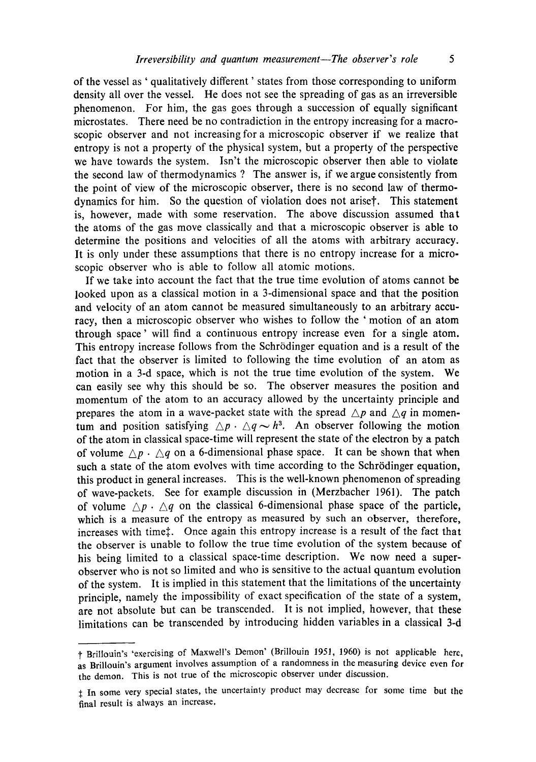of the vessel as ' qualitatively different' states from those corresponding to uniform density all over the vessel. He does not see the spreading of gas as an irreversible phenomenon. For him, the gas goes through a succession of equally significant microstates. There need be no contradiction in the entropy increasing for a macroscopic observer and not increasing for a microscopic observer if we realize that entropy is not a property of the physical system, but a property of the perspective we have towards the system. Isn't the microscopic observer then able to violate the second law of thermodynamics ? The answer is, if we argue consistently from the point of view of the microscopic observer, there is no second law of thermodynamics for him. So the question of violation does not ariset. This statement is, however, made with some reservation. The above discussion assumed that the atoms of the gas move classically and that a microscopic observer is able to determine the positions and velocities of all the atoms with arbitrary accuracy. It is only under these assumptions that there is no entropy increase for a microscopic observer who is able to follow all atomic motions.

If we take into account the fact that the true time evolution of atoms cannot be looked upon as a classical motion in a 3-dimensional space and that the position and velocity of an atom cannot be measured simultaneously to an arbitrary accuracy, then a microscopic observer who wishes to follow the ' motion of an atom through space' will find a continuous entropy increase even for a single atom. This entropy increase follows from the Schrödinger equation and is a result of the fact that the observer is limited to following the time evolution of an atom as motion in a 3-d space, which is not the true time evolution of the system. We can easily see why this should be so. The observer measures the position and momentum of the atom to an accuracy allowed by the uncertainty principle and prepares the atom in a wave-packet state with the spread  $\triangle p$  and  $\triangle q$  in momentum and position satisfying  $\Delta p \cdot \Delta q \sim h^3$ . An observer following the motion of the atom in classical space-time will represent the state of the electron by a patch of volume  $\triangle p \cdot \triangle q$  on a 6-dimensional phase space. It can be shown that when such a state of the atom evolves with time according to the Schrödinger equation, this product in general increases. This is the well-known phenomenon of spreading of wave-packets. See for example discussion in (Merzbacher 1961). The patch of volume  $\wedge p \cdot \wedge q$  on the classical 6-dimensional phase space of the particle, which is a measure of the entropy as measured by such an observer, therefore, increases with time:. Once again this entropy increase is a result of the fact that the observer is unable to follow the true time evolution of the system because of his being limited to a classical space-time description. We now need a superobserver who is not so limited and who is sensitive to the actual quantum evolution of the system. It is implied in this statement that the limitations of the uncertainty principle, namely the impossibility of exact specification of the state of a system, are not absolute but can be transcended. It is not implied, however, that these limitations can be transcended by introducing hidden variables in a classical 3-d

t Briltouin's 'exercising of Maxwell's Demon' (Brillouin 1951, 1960) is not applicable here, as Brillouin's argument involves assumption of a randomness in the measuring device even for the demon. This is not true of the microscopic observer under discussion.

<sup>&</sup>lt;sup>t</sup> In some very special states, the uncertainty product may decrease for some time but the final result is always an increase.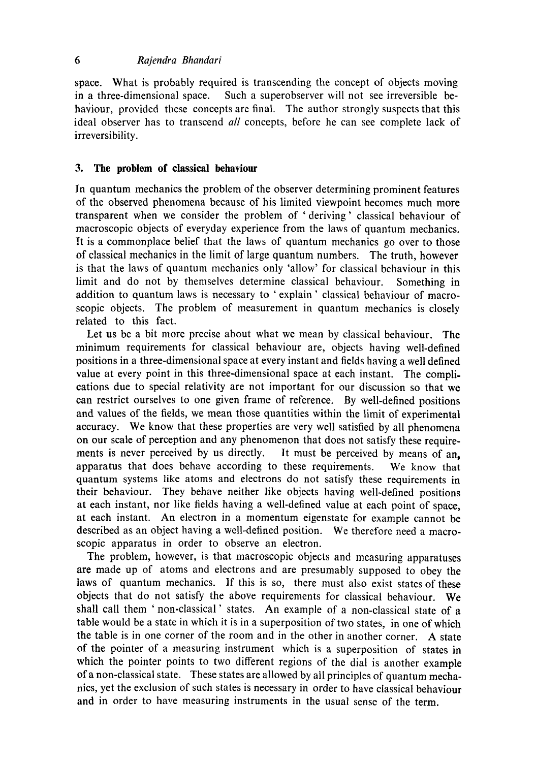### *6 Rajendra Bhandari*

space. What is probably required is transcending the concept of objects moving in a three-dimensional space. Such a superobserver will not see irreversible behaviour, provided these concepts are final. The author strongly suspects that this ideal observer has to transcend *all* concepts, before he can see complete lack of irreversibility.

### **3. The problem of classical behaviour**

In quantum mechanics the problem of the observer determining prominent features of the observed phenomena because of his limited viewpoint becomes much more transparent when we consider the problem of 'deriving' classical behaviour of macroscopic objects of everyday experience from the laws of quantum mechanics. It is a commonplace belief that the laws of quantum mechanics go over to those of classical mechanics in the limit of large quantum numbers. The truth, however is that the laws of quantum mechanics only 'allow' for classical behaviour in this limit and do not by themselves determine classical behaviour. Something in addition to quantum laws is necessary to ' explain' classical behaviour of macroscopic objects. The problem of measurement in quantum mechanics is closely related to this fact.

Let us be a bit more precise about what we mean by classical behaviour. The minimum requirements for classical behaviour are, objects having well-defined positions in a three-dimensional space at every instant and fields having a well defined value at every point in this three-dimensional space at each instant. The complications due to special relativity are not important for our discussion so that we can restrict ourselves to one given frame of reference. By well-defined positions and values of the fields, we mean those quantities within the limit of experimental accuracy. We know that these properties are very well satisfied by all phenomena on our scale of perception and any phenomenon that does not satisfy these requirements is never perceived by us directly. It must be perceived by means of an, apparatus that does behave according to these requirements. We know that quantum systems like atoms and electrons do not satisfy these requirements in their behaviour. They behave neither like objects having well-defined positions at each instant, nor like fields having a well-defined value at each point of space, at each instant. An electron in a momentum eigenstate for example cannot be described as an object having a well-defined position. We therefore need a macroscopic apparatus in order to observe an electron.

The problem, however, is that macroscopic objects and measuring apparatuses are made up of atoms and electrons and are presumably supposed to obey the laws of quantum mechanics. If this is so, there must also exist states of **these**  objects that do not satisfy the above requirements for classical behaviour. We shall call them ' non-classical ' states. An example of a non-classical state of a table would be a state in which it is in a superposition of two states, in one of which the table is in one corner of the room and in the other in another corner. A state of the pointer of a measuring instrument which is a superposition of states in which the pointer points to two different regions of the dial is another example of a non-classical state. These states are allowed by all principles of quantum mechanics, yet the exclusion of such states is necessary in order to have classical behaviour and in order to have measuring instruments in the usual sense of the term.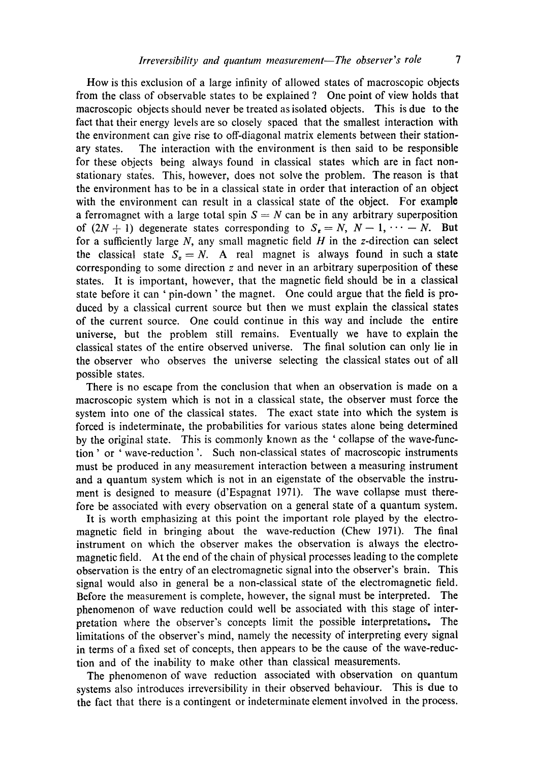How is this exclusion of a large infinity of allowed states of macroscopic objects from the class of observable states to be explained ? One point of view holds that macroscopic objects should never be treated as isolated objects. This is due to the fact that their energy levels are so closely spaced that the smallest interaction with the environment can give rise to off-diagonal matrix elements between their stationary states. The interaction with the environment is then said to be responsible for these objects being always found in classical states which are in fact nonstationary states. This, however, does not solve the problem. The reason is that the environment has to be in a classical state in order that interaction of an object with the environment can result in a classical state of the object. For example a ferromagnet with a large total spin  $S = N$  can be in any arbitrary superposition of  $(2N + 1)$  degenerate states corresponding to  $S_t = N$ ,  $N-1$ ,  $\cdots - N$ . But for a sufficiently large  $N$ , any small magnetic field  $H$  in the z-direction can select the classical state  $S<sub>z</sub> = N$ . A real magnet is always found in such a state corresponding to some direction  $z$  and never in an arbitrary superposition of these states. It is important, however, that the magnetic field should be in a classical state before it can ' pin-down ' the magnet. One could argue that the field is produced by a classical current source but then we must explain the classical states of the current source. One could continue in this way and include the entire universe, but the problem still remains. Eventually we have to explain the classical states of the entire observed universe. The final solution can only lie in the observer who observes the universe selecting the classical states out of all possible states.

There is no escape from the conclusion that when an observation is made on a macroscopic system which is not in a classical state, the observer must force the system into one of the classical states. The exact state into which the system is forced is indeterminate, the probabilities for various states alone being determined by the original state. This is commonly known as the ' collapse of the wave-function ' or ' wave-reduction '. Such non-classical states of macroscopic instruments must be produced in any measurement interaction between a measuring instrument and a quantum system which is not in an eigenstate of the observable the instrument is designed to measure (d'Espagnat 1971). The wave collapse must therefore be associated with every observation on a general state of a quantum system.

It is worth emphasizing at this point the important role played by the electromagnetic field in bringing about the wave-reduction (Chew 1971). The final instrument on which the observer makes the observation is always the electromagnetic field. At the end of the chain of physical processes leading to the complete observation is the entry of an electromagnetic signal into the observer's brain. This signal would also in general be a non-classical state of the electromagnetic field. Before the measurement is complete, however, the signal must be interpreted. The phenomenon of wave reduction could well be associated with this stage of interpretation where the observer's concepts limit the possible interpretations. The limitations of the observer's mind, namely the necessity of interpreting every signal in terms of a fixed set of concepts, then appears to be the cause of the wave-reduction and of the inability to make other than classical measurements.

The phenomenon of wave reduction associated with observation on quantum systems also introduces irreversibility in their observed behaviour. This is due to the fact that there is a contingent or indeterminate element involved in the process.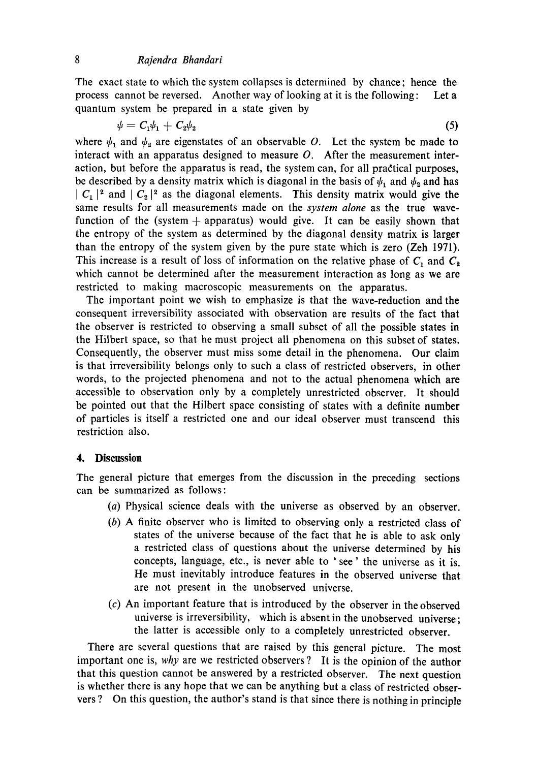The exact state to which the system collapses is determined by chance; hence the process cannot be reversed. Another way of looking at it is the following: Let a quantum system be prepared in a state given by

$$
\psi = C_1 \psi_1 + C_2 \psi_2 \tag{5}
$$

where  $\psi_1$  and  $\psi_2$  are eigenstates of an observable O. Let the system be made to interact with an apparatus designed to measure  $O$ . After the measurement interaction, but before the apparatus is read, the system can, for all pradtical purposes, be described by a density matrix which is diagonal in the basis of  $\psi_1$  and  $\psi_2$  and has  $|C_1|^2$  and  $|C_2|^2$  as the diagonal elements. This density matrix would give the same results for all measurements made on the *system alone* as the true wavefunction of the (system  $+$  apparatus) would give. It can be easily shown that the entropy of the system as determined by the diagonal density matrix is larger than the entropy of the system given by the pure state which is zero (Zeh 1971). This increase is a result of loss of information on the relative phase of  $C_1$  and  $C_2$ which cannot be determined after the measurement interaction as long as we are restricted to making macroscopic measurements on the apparatus.

The important point we wish to emphasize is that the wave-reduction and the consequent irreversibility associated with observation are results of the fact that the observer is restricted to observing a small subset of all the possible states in the Hilbert space, so that he must project all phenomena on this subset of states. Consequently, the observer must miss some detail in the phenomena. Our claim is that irreversibility belongs only to such a class of restricted observers, in other words, to the projected phenomena and not to the actual phenomena which are accessible to observation only by a completely unrestricted observer. It should be pointed out that the Hilbert space consisting of states with a definite number of particles is itself a restricted one and our ideal observer must transcend this restriction also.

### **4. Discussion**

The general picture that emerges from the discussion in the preceding sections can be summarized as follows:

- (a) Physical science deals with the universe as observed by an observer.
- (b) A finite observer who is limited to observing only a restricted class of states of the universe because of the fact that he is able to ask only a restricted class of questions about the universe determined by **his**  concepts, language, etc., is never able to 'see' the universe as it is. He must inevitably introduce features in the observed universe that are not present in the unobserved universe.
- (c) An important feature that is introduced by the observer in the observed universe is irreversibility, which is absent in the unobserved universe; the latter is accessible only to a completely unrestricted observer.

There are several questions that are raised by this general picture. The most important one is, *why* are we restricted observers ? It is the opinion of the author that this question cannot be answered by a restricted observer. The next question is whether there is any hope that we can be anything but a class of restricted observers ? On this question, the author's stand is that since there is nothing in principle